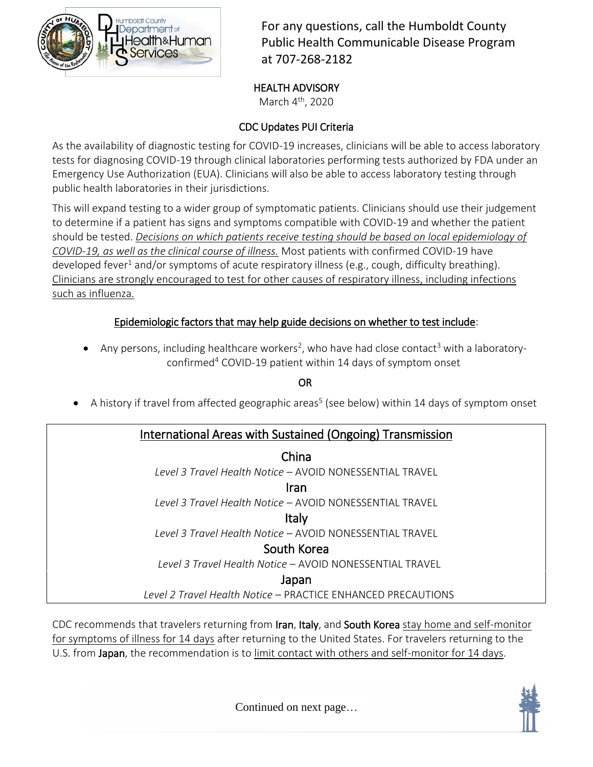

For any questions, call the Humboldt County Public Health Communicable Disease Program at 707-268-2182

#### HEALTH ADVISORY

March 4<sup>th</sup>, 2020

### CDC Updates PUI Criteria

As the availability of diagnostic testing for COVID-19 increases, clinicians will be able to access laboratory tests for diagnosing COVID-19 through clinical laboratories performing tests authorized by FDA under an Emergency Use Authorization (EUA). Clinicians will also be able to access laboratory testing through public health laboratories in their jurisdictions.

This will expand testing to a wider group of symptomatic patients. Clinicians should use their judgement to determine if a patient has signs and symptoms compatible with COVID-19 and whether the patient should be tested. *Decisions on which patients receive testing should be based on local epidemiology of COVID-19, as well as the clinical course of illness.* Most patients with confirmed COVID-19 have developed fever<sup>1</sup> and/or symptoms of acute respiratory illness (e.g., cough, difficulty breathing). Clinicians are strongly encouraged to test for other causes of respiratory illness, including infections such as influenza.

### Epidemiologic factors that may help guide decisions on whether to test include:

• Any persons, including healthcare workers<sup>2</sup>, who have had close contact<sup>3</sup> with a laboratoryconfirmed<sup>4</sup> COVID-19 patient within 14 days of symptom onset

OR

 $\bullet$  A history if travel from affected geographic areas<sup>5</sup> (see below) within 14 days of symptom onset

### International Areas with Sustained (Ongoing) Transmission

China *Level 3 Travel Health Notice* – AVOID NONESSENTIAL TRAVEL Iran *Level 3 Travel Health Notice* – AVOID NONESSENTIAL TRAVEL Italy *Level 3 Travel Health Notice* – AVOID NONESSENTIAL TRAVEL South Korea *Level 3 Travel Health Notice* – AVOID NONESSENTIAL TRAVEL Japan *Level 2 Travel Health Notice* – PRACTICE ENHANCED PRECAUTIONS

CDC recommends that travelers returning from Iran, Italy, and South Korea stay home and self-monitor for symptoms of illness for 14 days after returning to the United States. For travelers returning to the U.S. from Japan, the recommendation is to limit contact with others and self-monitor for 14 days.

Continued on next page…

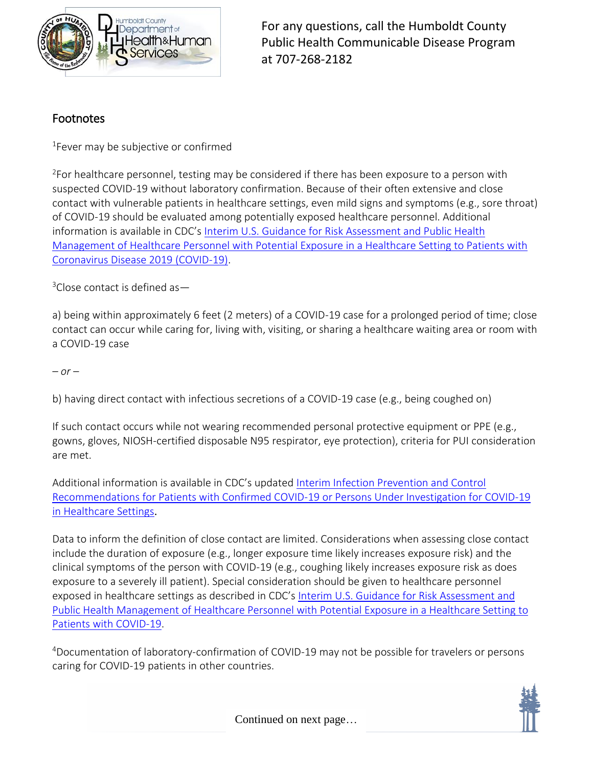

For any questions, call the Humboldt County Public Health Communicable Disease Program at 707-268-2182

### Footnotes

<sup>1</sup>Fever may be subjective or confirmed

<sup>2</sup>For healthcare personnel, testing may be considered if there has been exposure to a person with suspected COVID-19 without laboratory confirmation. Because of their often extensive and close contact with vulnerable patients in healthcare settings, even mild signs and symptoms (e.g., sore throat) of COVID-19 should be evaluated among potentially exposed healthcare personnel. Additional information is available in CDC's [Interim U.S. Guidance for Risk Assessment and Public Health](https://www.cdc.gov/coronavirus/2019-ncov/hcp/guidance-risk-assesment-hcp.html)  [Management of Healthcare Personnel with Potential Exposure in a Healthcare Setting to Patients with](https://www.cdc.gov/coronavirus/2019-ncov/hcp/guidance-risk-assesment-hcp.html)  [Coronavirus Disease 2019 \(COVID-19\).](https://www.cdc.gov/coronavirus/2019-ncov/hcp/guidance-risk-assesment-hcp.html)

 $3$ Close contact is defined as  $-$ 

a) being within approximately 6 feet (2 meters) of a COVID-19 case for a prolonged period of time; close contact can occur while caring for, living with, visiting, or sharing a healthcare waiting area or room with a COVID-19 case

*– or –*

b) having direct contact with infectious secretions of a COVID-19 case (e.g., being coughed on)

If such contact occurs while not wearing recommended personal protective equipment or PPE (e.g., gowns, gloves, NIOSH-certified disposable N95 respirator, eye protection), criteria for PUI consideration are met.

Additional information is available in CDC's updated [Interim Infection Prevention and Control](https://www.cdc.gov/coronavirus/2019-ncov/infection-control/control-recommendations.html)  [Recommendations for Patients with Confirmed COVID-19 or Persons Under Investigation for COVID-19](https://www.cdc.gov/coronavirus/2019-ncov/infection-control/control-recommendations.html)  [in Healthcare Settings](https://www.cdc.gov/coronavirus/2019-ncov/infection-control/control-recommendations.html).

Data to inform the definition of close contact are limited. Considerations when assessing close contact include the duration of exposure (e.g., longer exposure time likely increases exposure risk) and the clinical symptoms of the person with COVID-19 (e.g., coughing likely increases exposure risk as does exposure to a severely ill patient). Special consideration should be given to healthcare personnel exposed in healthcare settings as described in CDC's [Interim U.S. Guidance for Risk Assessment and](https://www.cdc.gov/coronavirus/2019-ncov/hcp/guidance-risk-assesment-hcp.html)  [Public Health Management of Healthcare Personnel with Potential Exposure in a Healthcare Setting to](https://www.cdc.gov/coronavirus/2019-ncov/hcp/guidance-risk-assesment-hcp.html)  [Patients with COVID-19.](https://www.cdc.gov/coronavirus/2019-ncov/hcp/guidance-risk-assesment-hcp.html)

<sup>4</sup>Documentation of laboratory-confirmation of COVID-19 may not be possible for travelers or persons caring for COVID-19 patients in other countries.